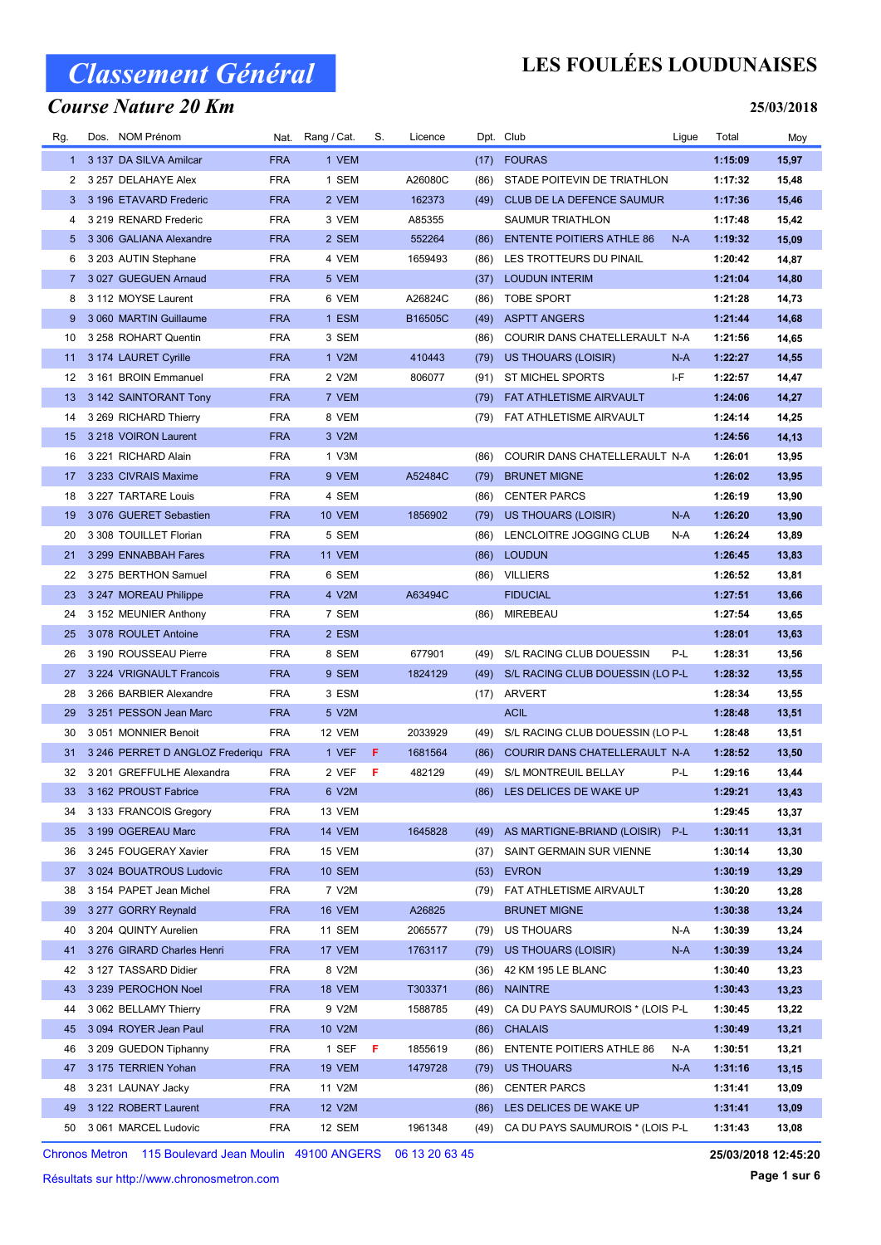### Course Nature 20 Km

## LES FOULÉES LOUDUNAISES

#### 25/03/2018

| Rg.          | Dos. NOM Prénom                     |            | Nat. Rang / Cat. | S.  | Licence |      | Dpt. Club                            | Ligue | Total   | Moy   |
|--------------|-------------------------------------|------------|------------------|-----|---------|------|--------------------------------------|-------|---------|-------|
| $\mathbf{1}$ | 3 137 DA SILVA Amilcar              | <b>FRA</b> | 1 VEM            |     |         | (17) | <b>FOURAS</b>                        |       | 1:15:09 | 15,97 |
| 2            | 3 257 DELAHAYE Alex                 | <b>FRA</b> | 1 SEM            |     | A26080C | (86) | STADE POITEVIN DE TRIATHLON          |       | 1:17:32 | 15,48 |
| 3            | 3 196 ETAVARD Frederic              | <b>FRA</b> | 2 VEM            |     | 162373  | (49) | CLUB DE LA DEFENCE SAUMUR            |       | 1:17:36 | 15,46 |
| 4            | 3 219 RENARD Frederic               | <b>FRA</b> | 3 VEM            |     | A85355  |      | <b>SAUMUR TRIATHLON</b>              |       | 1:17:48 | 15,42 |
| 5.           | 3 306 GALIANA Alexandre             | <b>FRA</b> | 2 SEM            |     | 552264  | (86) | <b>ENTENTE POITIERS ATHLE 86</b>     | $N-A$ | 1:19:32 | 15,09 |
| 6            | 3 203 AUTIN Stephane                | <b>FRA</b> | 4 VEM            |     | 1659493 | (86) | LES TROTTEURS DU PINAIL              |       | 1:20:42 | 14,87 |
| $7^{\circ}$  | 3 027 GUEGUEN Arnaud                | <b>FRA</b> | 5 VEM            |     |         | (37) | <b>LOUDUN INTERIM</b>                |       | 1:21:04 | 14,80 |
| 8            | 3 112 MOYSE Laurent                 | <b>FRA</b> | 6 VEM            |     | A26824C | (86) | <b>TOBE SPORT</b>                    |       | 1:21:28 | 14,73 |
| 9            | 3 060 MARTIN Guillaume              | <b>FRA</b> | 1 ESM            |     | B16505C | (49) | <b>ASPTT ANGERS</b>                  |       | 1:21:44 | 14,68 |
| 10           | 3 258 ROHART Quentin                | <b>FRA</b> | 3 SEM            |     |         | (86) | COURIR DANS CHATELLERAULT N-A        |       | 1:21:56 | 14,65 |
| 11           | 3 174 LAURET Cyrille                | <b>FRA</b> | 1 V2M            |     | 410443  | (79) | US THOUARS (LOISIR)                  | N-A   | 1:22:27 | 14,55 |
| 12           | 3 161 BROIN Emmanuel                | <b>FRA</b> | 2 V2M            |     | 806077  | (91) | ST MICHEL SPORTS                     | I-F   | 1:22:57 | 14,47 |
| 13           | 3 142 SAINTORANT Tony               | <b>FRA</b> | 7 VEM            |     |         | (79) | FAT ATHLETISME AIRVAULT              |       | 1:24:06 | 14,27 |
| 14           | 3 269 RICHARD Thierry               | <b>FRA</b> | 8 VEM            |     |         | (79) | FAT ATHLETISME AIRVAULT              |       | 1:24:14 | 14,25 |
| 15           | 3 218 VOIRON Laurent                | <b>FRA</b> | 3 V2M            |     |         |      |                                      |       | 1:24:56 | 14,13 |
| 16           | 3 221 RICHARD Alain                 | <b>FRA</b> | 1 V3M            |     |         | (86) | COURIR DANS CHATELLERAULT N-A        |       | 1:26:01 | 13,95 |
| 17           | 3 233 CIVRAIS Maxime                | <b>FRA</b> | 9 VEM            |     | A52484C | (79) | <b>BRUNET MIGNE</b>                  |       | 1:26:02 | 13,95 |
| 18           | 3 227 TARTARE Louis                 | <b>FRA</b> | 4 SEM            |     |         | (86) | <b>CENTER PARCS</b>                  |       | 1:26:19 | 13,90 |
| 19           | 3 076 GUERET Sebastien              | <b>FRA</b> | 10 VEM           |     | 1856902 | (79) | <b>US THOUARS (LOISIR)</b>           | $N-A$ | 1:26:20 | 13,90 |
| 20           | 3 308 TOUILLET Florian              | <b>FRA</b> | 5 SEM            |     |         | (86) | LENCLOITRE JOGGING CLUB              | N-A   | 1:26:24 | 13,89 |
| 21           | 3 299 ENNABBAH Fares                | <b>FRA</b> | 11 VEM           |     |         | (86) | <b>LOUDUN</b>                        |       | 1:26:45 | 13,83 |
| 22           | 3 275 BERTHON Samuel                | <b>FRA</b> | 6 SEM            |     |         | (86) | <b>VILLIERS</b>                      |       | 1:26:52 | 13,81 |
| 23           | 3 247 MOREAU Philippe               | <b>FRA</b> | 4 V2M            |     | A63494C |      | <b>FIDUCIAL</b>                      |       | 1:27:51 | 13,66 |
| 24           | 3 152 MEUNIER Anthony               | <b>FRA</b> | 7 SEM            |     |         | (86) | MIREBEAU                             |       | 1:27:54 | 13,65 |
| 25           | 3078 ROULET Antoine                 | <b>FRA</b> | 2 ESM            |     |         |      |                                      |       | 1:28:01 | 13,63 |
| 26           | 3 190 ROUSSEAU Pierre               | <b>FRA</b> | 8 SEM            |     | 677901  | (49) | S/L RACING CLUB DOUESSIN             | P-L   | 1:28:31 | 13,56 |
| 27           | 3 224 VRIGNAULT Francois            | <b>FRA</b> | 9 SEM            |     | 1824129 | (49) | S/L RACING CLUB DOUESSIN (LO P-L     |       | 1:28:32 | 13,55 |
| 28           | 3 266 BARBIER Alexandre             | <b>FRA</b> | 3 ESM            |     |         | (17) | <b>ARVERT</b>                        |       | 1:28:34 | 13,55 |
| 29           | 3 251 PESSON Jean Marc              | <b>FRA</b> | 5 V2M            |     |         |      | <b>ACIL</b>                          |       | 1:28:48 | 13,51 |
| 30           | 3 051 MONNIER Benoit                | <b>FRA</b> | 12 VEM           |     | 2033929 | (49) | S/L RACING CLUB DOUESSIN (LO P-L     |       | 1:28:48 | 13,51 |
| 31           | 3 246 PERRET D ANGLOZ Frederiqu FRA |            | 1 VEF            | F   | 1681564 | (86) | COURIR DANS CHATELLERAULT N-A        |       | 1:28:52 | 13,50 |
| 32           | 3 201 GREFFULHE Alexandra           | <b>FRA</b> | 2 VEF            | - F | 482129  | (49) | S/L MONTREUIL BELLAY                 | P-L   | 1:29:16 | 13,44 |
|              | 33 3 162 PROUST Fabrice             | <b>FRA</b> | 6 V2M            |     |         |      | (86) LES DELICES DE WAKE UP          |       | 1:29:21 | 13,43 |
| 34           | 3 133 FRANCOIS Gregory              | <b>FRA</b> | 13 VEM           |     |         |      |                                      |       | 1:29:45 | 13,37 |
| 35           | 3 199 OGEREAU Marc                  | <b>FRA</b> | <b>14 VEM</b>    |     | 1645828 |      | (49) AS MARTIGNE-BRIAND (LOISIR) P-L |       | 1:30:11 | 13,31 |
| 36           | 3 245 FOUGERAY Xavier               | <b>FRA</b> | 15 VEM           |     |         | (37) | SAINT GERMAIN SUR VIENNE             |       | 1:30:14 | 13,30 |
| 37           | 3 024 BOUATROUS Ludovic             | <b>FRA</b> | <b>10 SEM</b>    |     |         | (53) | <b>EVRON</b>                         |       | 1:30:19 | 13,29 |
| 38           | 3 154 PAPET Jean Michel             | <b>FRA</b> | 7 V2M            |     |         |      | (79) FAT ATHLETISME AIRVAULT         |       | 1:30:20 | 13,28 |
| 39           | 3 277 GORRY Reynald                 | <b>FRA</b> | 16 VEM           |     | A26825  |      | <b>BRUNET MIGNE</b>                  |       | 1:30:38 | 13,24 |
| 40           | 3 204 QUINTY Aurelien               | <b>FRA</b> | 11 SEM           |     | 2065577 | (79) | US THOUARS                           | N-A   | 1:30:39 | 13,24 |
| 41           | 3 276 GIRARD Charles Henri          | <b>FRA</b> | 17 VEM           |     | 1763117 | (79) | US THOUARS (LOISIR)                  | N-A   | 1:30:39 | 13,24 |
| 42           | 3 127 TASSARD Didier                | <b>FRA</b> | 8 V2M            |     |         | (36) | 42 KM 195 LE BLANC                   |       | 1:30:40 | 13,23 |
| 43           | 3 239 PEROCHON Noel                 | <b>FRA</b> | <b>18 VEM</b>    |     | T303371 | (86) | <b>NAINTRE</b>                       |       | 1:30:43 | 13,23 |
| 44           | 3 062 BELLAMY Thierry               | <b>FRA</b> | 9 V2M            |     | 1588785 | (49) | CA DU PAYS SAUMUROIS * (LOIS P-L     |       | 1:30:45 | 13,22 |
| 45           | 3 094 ROYER Jean Paul               | <b>FRA</b> | 10 V2M           |     |         | (86) | <b>CHALAIS</b>                       |       | 1:30:49 | 13,21 |
| 46           | 3 209 GUEDON Tiphanny               | <b>FRA</b> | 1 SEF            | F   | 1855619 | (86) | <b>ENTENTE POITIERS ATHLE 86</b>     | N-A   | 1:30:51 | 13,21 |
| 47           | 3 175 TERRIEN Yohan                 | <b>FRA</b> | <b>19 VEM</b>    |     | 1479728 | (79) | US THOUARS                           | N-A   | 1:31:16 | 13,15 |
| 48           | 3 231 LAUNAY Jacky                  | <b>FRA</b> | 11 V2M           |     |         | (86) | <b>CENTER PARCS</b>                  |       | 1:31:41 | 13,09 |
| 49           | 3 122 ROBERT Laurent                | <b>FRA</b> | 12 V2M           |     |         | (86) | LES DELICES DE WAKE UP               |       | 1:31:41 | 13,09 |
| 50           | 3 061 MARCEL Ludovic                | <b>FRA</b> | 12 SEM           |     | 1961348 | (49) | CA DU PAYS SAUMUROIS * (LOIS P-L     |       | 1:31:43 | 13,08 |
|              |                                     |            |                  |     |         |      |                                      |       |         |       |

Chronos Metron 115 Boulevard Jean Moulin 49100 ANGERS 06 13 20 63 45

Résultats sur http://www.chronosmetron.com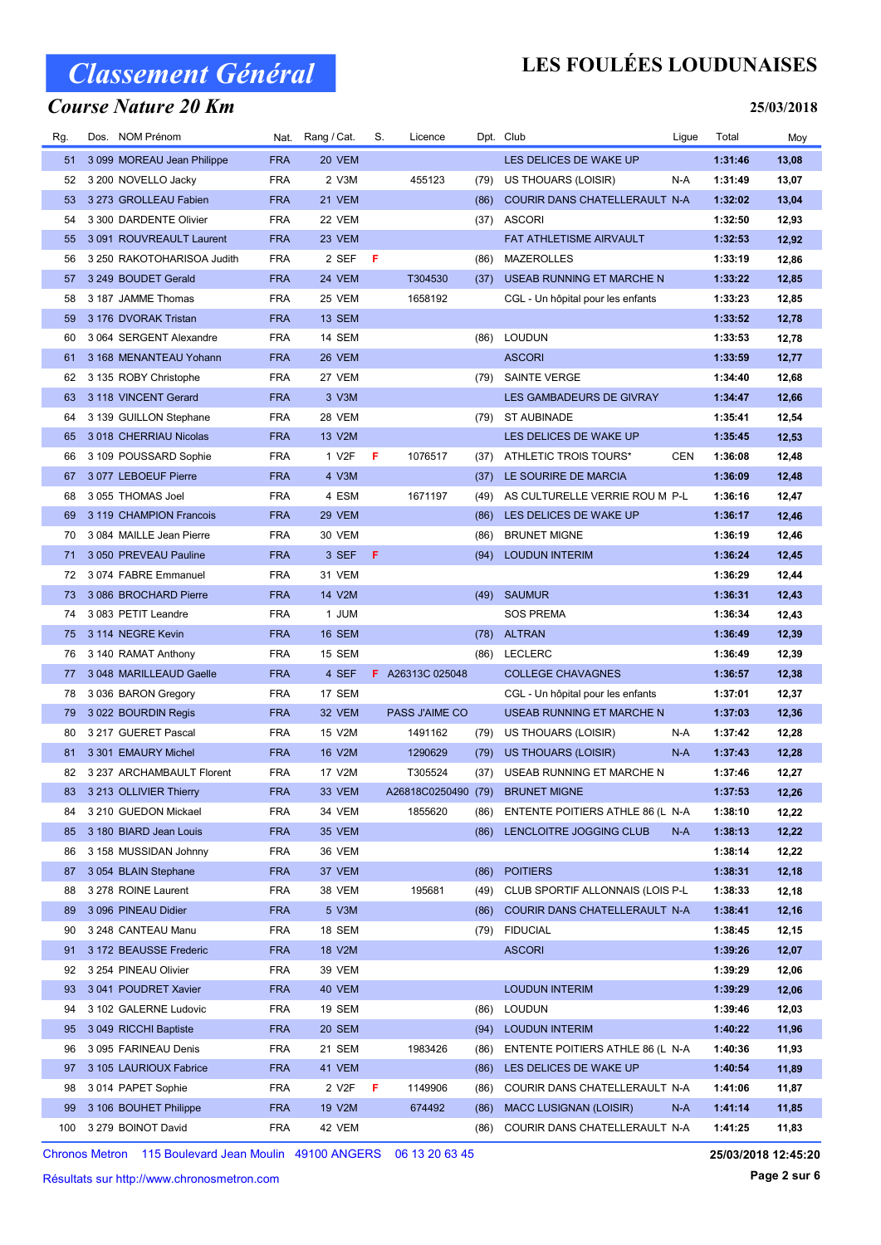### Course Nature 20 Km

## LES FOULÉES LOUDUNAISES

25/03/2018

| Rg. | Dos. NOM Prénom            | Nat.       | Rang / Cat.   | S.  | Licence                 |      | Dpt. Club                             | Ligue      | Total   | Moy   |
|-----|----------------------------|------------|---------------|-----|-------------------------|------|---------------------------------------|------------|---------|-------|
| 51  | 3 099 MOREAU Jean Philippe | <b>FRA</b> | 20 VEM        |     |                         |      | LES DELICES DE WAKE UP                |            | 1:31:46 | 13,08 |
| 52  | 3 200 NOVELLO Jacky        | <b>FRA</b> | 2 V3M         |     | 455123                  | (79) | US THOUARS (LOISIR)                   | N-A        | 1:31:49 | 13,07 |
| 53  | 3 273 GROLLEAU Fabien      | <b>FRA</b> | 21 VEM        |     |                         | (86) | COURIR DANS CHATELLERAULT N-A         |            | 1:32:02 | 13,04 |
| 54  | 3 300 DARDENTE Olivier     | <b>FRA</b> | 22 VEM        |     |                         | (37) | <b>ASCORI</b>                         |            | 1:32:50 | 12,93 |
| 55  | 3 091 ROUVREAULT Laurent   | <b>FRA</b> | 23 VEM        |     |                         |      | FAT ATHLETISME AIRVAULT               |            | 1:32:53 | 12,92 |
| 56  | 3 250 RAKOTOHARISOA Judith | <b>FRA</b> | 2 SEF         | - F |                         | (86) | <b>MAZEROLLES</b>                     |            | 1:33:19 | 12,86 |
| 57  | 3 249 BOUDET Gerald        | <b>FRA</b> | 24 VEM        |     | T304530                 | (37) | USEAB RUNNING ET MARCHE N             |            | 1:33:22 | 12,85 |
| 58  | 3 187 JAMME Thomas         | <b>FRA</b> | 25 VEM        |     | 1658192                 |      | CGL - Un hôpital pour les enfants     |            | 1:33:23 | 12,85 |
| 59  | 3 176 DVORAK Tristan       | <b>FRA</b> | 13 SEM        |     |                         |      |                                       |            | 1:33:52 | 12,78 |
| 60  | 3 064 SERGENT Alexandre    | <b>FRA</b> | 14 SEM        |     |                         | (86) | <b>LOUDUN</b>                         |            | 1:33:53 | 12,78 |
| 61  | 3 168 MENANTEAU Yohann     | <b>FRA</b> | 26 VEM        |     |                         |      | <b>ASCORI</b>                         |            | 1:33:59 | 12,77 |
| 62  | 3 135 ROBY Christophe      | <b>FRA</b> | 27 VEM        |     |                         |      | (79) SAINTE VERGE                     |            | 1:34:40 | 12,68 |
| 63  | 3 118 VINCENT Gerard       | <b>FRA</b> | 3 V3M         |     |                         |      | LES GAMBADEURS DE GIVRAY              |            | 1:34:47 | 12,66 |
| 64  | 3 139 GUILLON Stephane     | <b>FRA</b> | 28 VEM        |     |                         | (79) | <b>ST AUBINADE</b>                    |            | 1:35:41 | 12,54 |
| 65  | 3 018 CHERRIAU Nicolas     | <b>FRA</b> | 13 V2M        |     |                         |      | LES DELICES DE WAKE UP                |            | 1:35:45 | 12,53 |
| 66  | 3 109 POUSSARD Sophie      | <b>FRA</b> | 1 V2F         | F   | 1076517                 | (37) | ATHLETIC TROIS TOURS*                 | <b>CEN</b> | 1:36:08 | 12,48 |
| 67  | 3077 LEBOEUF Pierre        | <b>FRA</b> | 4 V3M         |     |                         | (37) | LE SOURIRE DE MARCIA                  |            | 1:36:09 | 12,48 |
| 68  | 3 055 THOMAS Joel          | <b>FRA</b> | 4 ESM         |     | 1671197                 | (49) | AS CULTURELLE VERRIE ROU M P-L        |            | 1:36:16 | 12,47 |
| 69  | 3 119 CHAMPION Francois    | <b>FRA</b> | 29 VEM        |     |                         | (86) | LES DELICES DE WAKE UP                |            | 1:36:17 | 12,46 |
| 70  | 3 084 MAILLE Jean Pierre   | <b>FRA</b> | 30 VEM        |     |                         | (86) | <b>BRUNET MIGNE</b>                   |            | 1:36:19 | 12,46 |
| 71  | 3 050 PREVEAU Pauline      | <b>FRA</b> | 3 SEF         | F   |                         | (94) | <b>LOUDUN INTERIM</b>                 |            | 1:36:24 | 12,45 |
| 72  | 3 074 FABRE Emmanuel       | <b>FRA</b> | 31 VEM        |     |                         |      |                                       |            | 1:36:29 | 12,44 |
| 73  | 3 086 BROCHARD Pierre      | <b>FRA</b> | 14 V2M        |     |                         | (49) | <b>SAUMUR</b>                         |            | 1:36:31 | 12,43 |
| 74  | 3 083 PETIT Leandre        | <b>FRA</b> | 1 JUM         |     |                         |      | <b>SOS PREMA</b>                      |            | 1:36:34 | 12,43 |
| 75  | 3 114 NEGRE Kevin          | <b>FRA</b> | 16 SEM        |     |                         |      | (78) ALTRAN                           |            | 1:36:49 | 12,39 |
| 76  | 3 140 RAMAT Anthony        | <b>FRA</b> | 15 SEM        |     |                         |      | (86) LECLERC                          |            | 1:36:49 | 12,39 |
| 77  | 3 048 MARILLEAUD Gaelle    | <b>FRA</b> | 4 SEF         |     | <b>F</b> A26313C 025048 |      | <b>COLLEGE CHAVAGNES</b>              |            | 1:36:57 | 12,38 |
| 78  | 3 036 BARON Gregory        | <b>FRA</b> | 17 SEM        |     |                         |      | CGL - Un hôpital pour les enfants     |            | 1:37:01 | 12,37 |
| 79  | 3 022 BOURDIN Regis        | <b>FRA</b> | 32 VEM        |     | PASS J'AIME CO          |      | USEAB RUNNING ET MARCHE N             |            | 1:37:03 | 12,36 |
| 80  | 3 217 GUERET Pascal        | <b>FRA</b> | 15 V2M        |     | 1491162                 | (79) | US THOUARS (LOISIR)                   | N-A        | 1:37:42 | 12,28 |
| 81  | 3 301 EMAURY Michel        | <b>FRA</b> | 16 V2M        |     | 1290629                 | (79) | US THOUARS (LOISIR)                   | $N-A$      | 1:37:43 | 12,28 |
| 82  | 3 237 ARCHAMBAULT Florent  | <b>FRA</b> | 17 V2M        |     | T305524                 | (37) | USEAB RUNNING ET MARCHE N             |            | 1:37:46 | 12,27 |
|     | 83 3 213 OLLIVIER Thierry  | <b>FRA</b> | 33 VEM        |     |                         |      | A26818C0250490 (79) BRUNET MIGNE      |            | 1:37:53 | 12,26 |
| 84  | 3 210 GUEDON Mickael       | <b>FRA</b> | 34 VEM        |     | 1855620                 |      | (86) ENTENTE POITIERS ATHLE 86 (L N-A |            | 1:38:10 | 12,22 |
| 85  | 3 180 BIARD Jean Louis     | <b>FRA</b> | 35 VEM        |     |                         | (86) | LENCLOITRE JOGGING CLUB               | N-A        | 1:38:13 | 12,22 |
| 86  | 3 158 MUSSIDAN Johnny      | <b>FRA</b> | 36 VEM        |     |                         |      |                                       |            | 1:38:14 | 12,22 |
| 87  | 3 054 BLAIN Stephane       | <b>FRA</b> | 37 VEM        |     |                         | (86) | <b>POITIERS</b>                       |            | 1:38:31 | 12,18 |
| 88  | 3 278 ROINE Laurent        | <b>FRA</b> | 38 VEM        |     | 195681                  | (49) | CLUB SPORTIF ALLONNAIS (LOIS P-L      |            | 1:38:33 | 12,18 |
| 89  | 3 096 PINEAU Didier        | <b>FRA</b> | 5 V3M         |     |                         | (86) | COURIR DANS CHATELLERAULT N-A         |            | 1:38:41 | 12,16 |
| 90  | 3 248 CANTEAU Manu         | <b>FRA</b> | 18 SEM        |     |                         | (79) | <b>FIDUCIAL</b>                       |            | 1:38:45 | 12,15 |
| 91  | 3 172 BEAUSSE Frederic     | <b>FRA</b> | 18 V2M        |     |                         |      | <b>ASCORI</b>                         |            | 1:39:26 | 12,07 |
| 92  | 3 254 PINEAU Olivier       | <b>FRA</b> | 39 VEM        |     |                         |      |                                       |            | 1:39:29 | 12,06 |
| 93  | 3041 POUDRET Xavier        | <b>FRA</b> | 40 VEM        |     |                         |      | <b>LOUDUN INTERIM</b>                 |            | 1:39:29 | 12,06 |
| 94  | 3 102 GALERNE Ludovic      | <b>FRA</b> | 19 SEM        |     |                         | (86) | <b>LOUDUN</b>                         |            | 1:39:46 | 12,03 |
| 95  | 3 049 RICCHI Baptiste      | <b>FRA</b> | <b>20 SEM</b> |     |                         | (94) | <b>LOUDUN INTERIM</b>                 |            | 1:40:22 | 11,96 |
| 96  | 3 095 FARINEAU Denis       | <b>FRA</b> | 21 SEM        |     | 1983426                 | (86) | ENTENTE POITIERS ATHLE 86 (L N-A      |            | 1:40:36 | 11,93 |
| 97  | 3 105 LAURIOUX Fabrice     | <b>FRA</b> | 41 VEM        |     |                         | (86) | LES DELICES DE WAKE UP                |            | 1:40:54 | 11,89 |
| 98  | 3014 PAPET Sophie          | <b>FRA</b> | 2 V2F         | F   | 1149906                 | (86) | COURIR DANS CHATELLERAULT N-A         |            | 1:41:06 | 11,87 |
| 99  | 3 106 BOUHET Philippe      | <b>FRA</b> | 19 V2M        |     | 674492                  | (86) | <b>MACC LUSIGNAN (LOISIR)</b>         | N-A        | 1:41:14 | 11,85 |
| 100 | 3 279 BOINOT David         | <b>FRA</b> | 42 VEM        |     |                         | (86) | COURIR DANS CHATELLERAULT N-A         |            | 1:41:25 | 11,83 |

Chronos Metron 115 Boulevard Jean Moulin 49100 ANGERS 06 13 20 63 45

Résultats sur http://www.chronosmetron.com

25/03/2018 12:45:20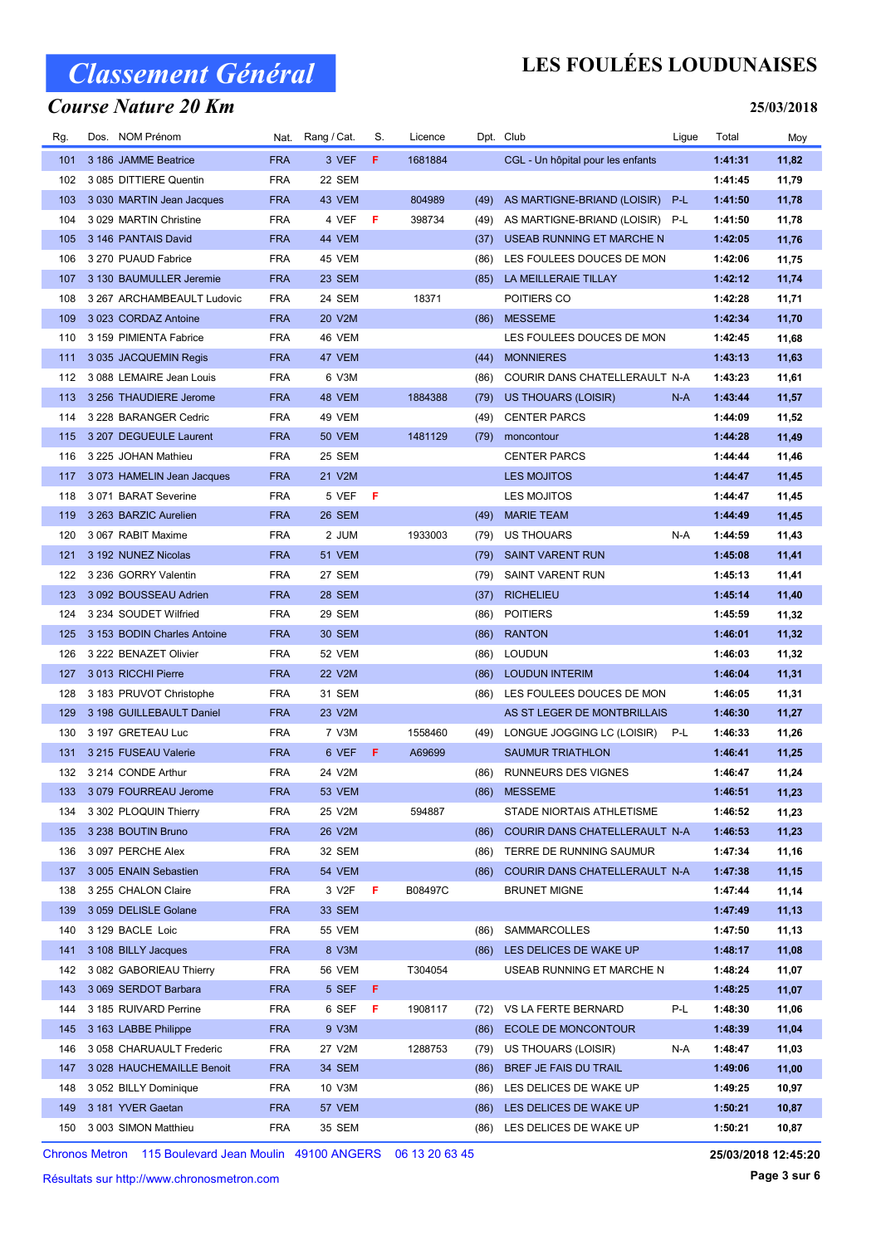### Course Nature 20 Km

## LES FOULÉES LOUDUNAISES

#### 25/03/2018

| Rg. | Dos. NOM Prénom             | Nat.       | Rang / Cat.   | S. | Licence |      | Dpt. Club                         | Ligue | Total   | Moy   |
|-----|-----------------------------|------------|---------------|----|---------|------|-----------------------------------|-------|---------|-------|
| 101 | 3 186 JAMME Beatrice        | <b>FRA</b> | 3 VEF         | F  | 1681884 |      | CGL - Un hôpital pour les enfants |       | 1:41:31 | 11,82 |
| 102 | 3 085 DITTIERE Quentin      | <b>FRA</b> | 22 SEM        |    |         |      |                                   |       | 1:41:45 | 11,79 |
| 103 | 3 030 MARTIN Jean Jacques   | <b>FRA</b> | 43 VEM        |    | 804989  | (49) | AS MARTIGNE-BRIAND (LOISIR)       | P-L   | 1:41:50 | 11,78 |
| 104 | 3 029 MARTIN Christine      | <b>FRA</b> | 4 VEF         | F  | 398734  | (49) | AS MARTIGNE-BRIAND (LOISIR)       | P-L   | 1:41:50 | 11,78 |
| 105 | 3 146 PANTAIS David         | <b>FRA</b> | 44 VEM        |    |         | (37) | USEAB RUNNING ET MARCHE N         |       | 1:42:05 | 11,76 |
| 106 | 3 270 PUAUD Fabrice         | <b>FRA</b> | 45 VEM        |    |         | (86) | LES FOULEES DOUCES DE MON         |       | 1:42:06 | 11,75 |
| 107 | 3 130 BAUMULLER Jeremie     | <b>FRA</b> | 23 SEM        |    |         | (85) | LA MEILLERAIE TILLAY              |       | 1:42:12 | 11,74 |
| 108 | 3 267 ARCHAMBEAULT Ludovic  | <b>FRA</b> | 24 SEM        |    | 18371   |      | POITIERS CO                       |       | 1:42:28 | 11,71 |
| 109 | 3 023 CORDAZ Antoine        | <b>FRA</b> | 20 V2M        |    |         | (86) | <b>MESSEME</b>                    |       | 1:42:34 | 11,70 |
| 110 | 3 159 PIMIENTA Fabrice      | <b>FRA</b> | 46 VEM        |    |         |      | LES FOULEES DOUCES DE MON         |       | 1:42:45 | 11,68 |
| 111 | 3 035 JACQUEMIN Regis       | <b>FRA</b> | 47 VEM        |    |         | (44) | <b>MONNIERES</b>                  |       | 1:43:13 | 11,63 |
| 112 | 3 088 LEMAIRE Jean Louis    | <b>FRA</b> | 6 V3M         |    |         | (86) | COURIR DANS CHATELLERAULT N-A     |       | 1:43:23 | 11,61 |
| 113 | 3 256 THAUDIERE Jerome      | <b>FRA</b> | 48 VEM        |    | 1884388 | (79) | US THOUARS (LOISIR)               | $N-A$ | 1:43:44 | 11,57 |
| 114 | 3 228 BARANGER Cedric       | <b>FRA</b> | 49 VEM        |    |         | (49) | <b>CENTER PARCS</b>               |       | 1:44:09 | 11,52 |
| 115 | 3 207 DEGUEULE Laurent      | <b>FRA</b> | 50 VEM        |    | 1481129 | (79) | moncontour                        |       | 1:44:28 | 11,49 |
| 116 | 3 225 JOHAN Mathieu         | <b>FRA</b> | 25 SEM        |    |         |      | <b>CENTER PARCS</b>               |       | 1:44:44 | 11,46 |
| 117 | 3 073 HAMELIN Jean Jacques  | <b>FRA</b> | 21 V2M        |    |         |      | LES MOJITOS                       |       | 1:44:47 | 11,45 |
| 118 | 3 071 BARAT Severine        | <b>FRA</b> | 5 VEF         | F  |         |      | LES MOJITOS                       |       | 1:44:47 | 11,45 |
| 119 | 3 263 BARZIC Aurelien       | <b>FRA</b> | 26 SEM        |    |         | (49) | <b>MARIE TEAM</b>                 |       | 1:44:49 | 11,45 |
| 120 | 3 067 RABIT Maxime          | <b>FRA</b> | 2 JUM         |    | 1933003 | (79) | <b>US THOUARS</b>                 | N-A   | 1:44:59 | 11,43 |
| 121 | 3 192 NUNEZ Nicolas         | <b>FRA</b> | <b>51 VEM</b> |    |         | (79) | <b>SAINT VARENT RUN</b>           |       | 1:45:08 | 11,41 |
| 122 | 3 236 GORRY Valentin        | <b>FRA</b> | 27 SEM        |    |         | (79) | <b>SAINT VARENT RUN</b>           |       | 1:45:13 | 11,41 |
| 123 | 3 092 BOUSSEAU Adrien       | <b>FRA</b> | 28 SEM        |    |         | (37) | <b>RICHELIEU</b>                  |       | 1:45:14 | 11,40 |
| 124 | 3 234 SOUDET Wilfried       | <b>FRA</b> | 29 SEM        |    |         | (86) | <b>POITIERS</b>                   |       | 1:45:59 | 11,32 |
| 125 | 3 153 BODIN Charles Antoine | <b>FRA</b> | <b>30 SEM</b> |    |         | (86) | <b>RANTON</b>                     |       | 1:46:01 | 11,32 |
| 126 | 3 222 BENAZET Olivier       | <b>FRA</b> | 52 VEM        |    |         | (86) | LOUDUN                            |       | 1:46:03 | 11,32 |
| 127 | 3013 RICCHI Pierre          | <b>FRA</b> | 22 V2M        |    |         | (86) | <b>LOUDUN INTERIM</b>             |       | 1:46:04 | 11,31 |
| 128 | 3 183 PRUVOT Christophe     | <b>FRA</b> | 31 SEM        |    |         | (86) | LES FOULEES DOUCES DE MON         |       | 1:46:05 | 11,31 |
| 129 | 3 198 GUILLEBAULT Daniel    | <b>FRA</b> | 23 V2M        |    |         |      | AS ST LEGER DE MONTBRILLAIS       |       | 1:46:30 | 11,27 |
| 130 | 3 197 GRETEAU Luc           | <b>FRA</b> | 7 V3M         |    | 1558460 | (49) | LONGUE JOGGING LC (LOISIR)        | P-L   | 1:46:33 | 11,26 |
| 131 | 3 215 FUSEAU Valerie        | <b>FRA</b> | 6 VEF         | F  | A69699  |      | <b>SAUMUR TRIATHLON</b>           |       | 1:46:41 | 11,25 |
| 132 | 3 214 CONDE Arthur          | <b>FRA</b> | 24 V2M        |    |         | (86) | RUNNEURS DES VIGNES               |       | 1:46:47 | 11,24 |
|     | 133 3 079 FOURREAU Jerome   | <b>FRA</b> | 53 VEM        |    |         |      | (86) MESSEME                      |       | 1:46:51 | 11,23 |
| 134 | 3 302 PLOQUIN Thierry       | <b>FRA</b> | 25 V2M        |    | 594887  |      | STADE NIORTAIS ATHLETISME         |       | 1:46:52 | 11,23 |
| 135 | 3 238 BOUTIN Bruno          | <b>FRA</b> | 26 V2M        |    |         | (86) | COURIR DANS CHATELLERAULT N-A     |       | 1:46:53 | 11,23 |
| 136 | 3 097 PERCHE Alex           | <b>FRA</b> | 32 SEM        |    |         | (86) | TERRE DE RUNNING SAUMUR           |       | 1:47:34 | 11,16 |
| 137 | 3 005 ENAIN Sebastien       | <b>FRA</b> | <b>54 VEM</b> |    |         | (86) | COURIR DANS CHATELLERAULT N-A     |       | 1:47:38 | 11,15 |
| 138 | 3 255 CHALON Claire         | <b>FRA</b> | 3 V2F         | F  | B08497C |      | <b>BRUNET MIGNE</b>               |       | 1:47:44 | 11,14 |
| 139 | 3 059 DELISLE Golane        | <b>FRA</b> | <b>33 SEM</b> |    |         |      |                                   |       | 1:47:49 | 11,13 |
| 140 | 3 129 BACLE Loic            | <b>FRA</b> | 55 VEM        |    |         | (86) | SAMMARCOLLES                      |       | 1:47:50 | 11,13 |
| 141 | 3 108 BILLY Jacques         | <b>FRA</b> | 8 V3M         |    |         | (86) | LES DELICES DE WAKE UP            |       | 1:48:17 | 11,08 |
| 142 | 3 082 GABORIEAU Thierry     | <b>FRA</b> | 56 VEM        |    | T304054 |      | USEAB RUNNING ET MARCHE N         |       | 1:48:24 | 11,07 |
| 143 | 3 069 SERDOT Barbara        | <b>FRA</b> | 5 SEF         | F  |         |      |                                   |       | 1:48:25 | 11,07 |
| 144 | 3 185 RUIVARD Perrine       | <b>FRA</b> | 6 SEF         | F  | 1908117 | (72) | VS LA FERTE BERNARD               | P-L   | 1:48:30 | 11,06 |
| 145 | 3 163 LABBE Philippe        | <b>FRA</b> | 9 V3M         |    |         | (86) | ECOLE DE MONCONTOUR               |       | 1:48:39 | 11,04 |
| 146 | 3 058 CHARUAULT Frederic    | <b>FRA</b> | 27 V2M        |    | 1288753 | (79) | US THOUARS (LOISIR)               | N-A   | 1:48:47 | 11,03 |
| 147 | 3 028 HAUCHEMAILLE Benoit   | <b>FRA</b> | 34 SEM        |    |         | (86) | BREF JE FAIS DU TRAIL             |       | 1:49:06 | 11,00 |
| 148 | 3 052 BILLY Dominique       | <b>FRA</b> | 10 V3M        |    |         | (86) | LES DELICES DE WAKE UP            |       | 1:49:25 | 10,97 |
| 149 | 3 181 YVER Gaetan           | <b>FRA</b> | 57 VEM        |    |         | (86) | LES DELICES DE WAKE UP            |       | 1:50:21 | 10,87 |
| 150 | 3 003 SIMON Matthieu        | <b>FRA</b> | 35 SEM        |    |         |      | (86) LES DELICES DE WAKE UP       |       | 1:50:21 | 10,87 |

Chronos Metron 115 Boulevard Jean Moulin 49100 ANGERS 06 13 20 63 45

Résultats sur http://www.chronosmetron.com

25/03/2018 12:45:20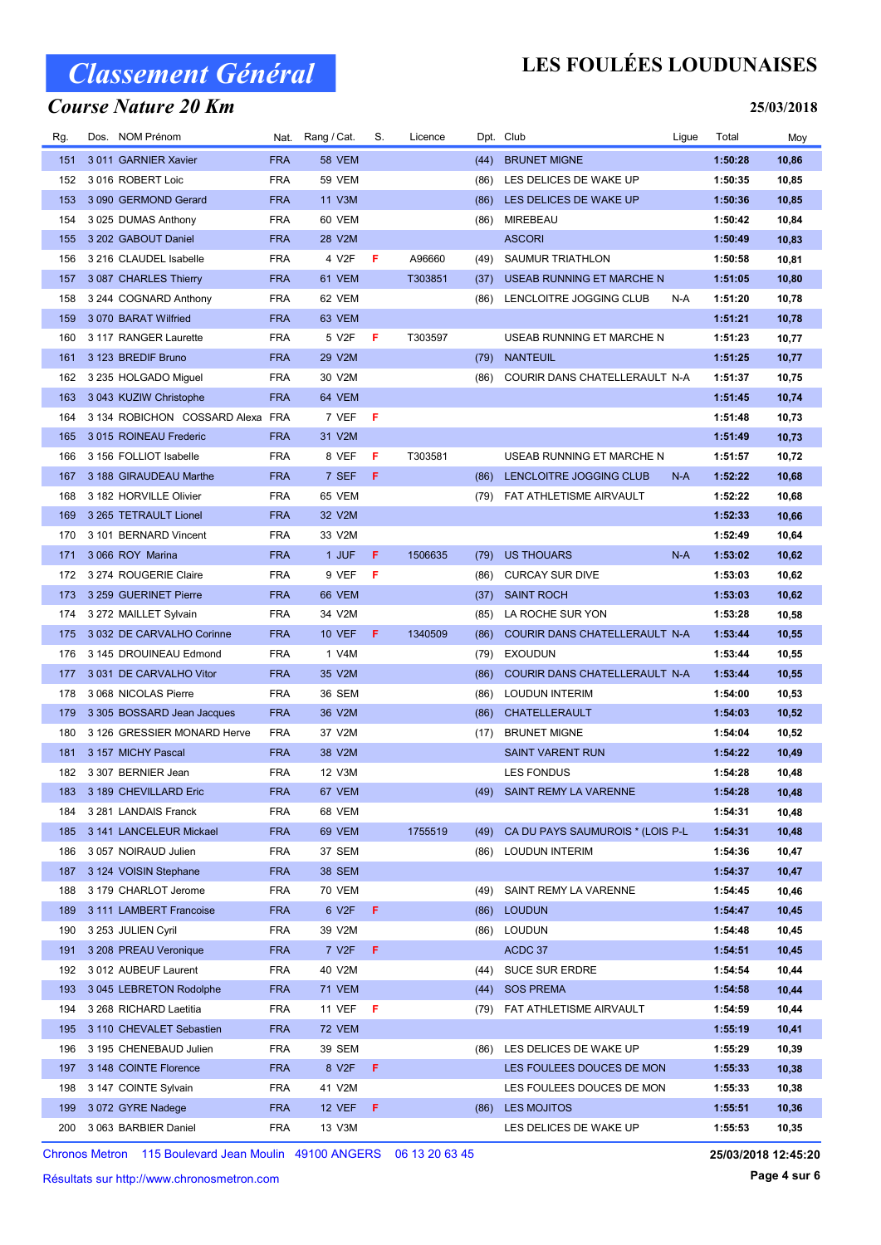### Course Nature 20 Km

## LES FOULÉES LOUDUNAISES

#### 25/03/2018

| Rg. | Dos. NOM Prénom              |            | Nat. Rang / Cat.   | S.  | Licence |      | Dpt. Club                        | Ligue | Total   | Moy   |
|-----|------------------------------|------------|--------------------|-----|---------|------|----------------------------------|-------|---------|-------|
| 151 | 3011 GARNIER Xavier          | <b>FRA</b> | <b>58 VEM</b>      |     |         | (44) | <b>BRUNET MIGNE</b>              |       | 1:50:28 | 10,86 |
| 152 | 3016 ROBERT Loic             | <b>FRA</b> | <b>59 VEM</b>      |     |         | (86) | LES DELICES DE WAKE UP           |       | 1:50:35 | 10,85 |
| 153 | 3 090 GERMOND Gerard         | <b>FRA</b> | 11 V3M             |     |         | (86) | LES DELICES DE WAKE UP           |       | 1:50:36 | 10,85 |
| 154 | 3 025 DUMAS Anthony          | <b>FRA</b> | 60 VEM             |     |         | (86) | MIREBEAU                         |       | 1:50:42 | 10,84 |
| 155 | 3 202 GABOUT Daniel          | <b>FRA</b> | 28 V2M             |     |         |      | <b>ASCORI</b>                    |       | 1:50:49 | 10,83 |
| 156 | 3 216 CLAUDEL Isabelle       | <b>FRA</b> | 4 V2F              | F   | A96660  | (49) | SAUMUR TRIATHLON                 |       | 1:50:58 | 10,81 |
| 157 | 3 087 CHARLES Thierry        | <b>FRA</b> | 61 VEM             |     | T303851 | (37) | USEAB RUNNING ET MARCHE N        |       | 1:51:05 | 10,80 |
| 158 | 3 244 COGNARD Anthony        | <b>FRA</b> | 62 VEM             |     |         | (86) | LENCLOITRE JOGGING CLUB          | N-A   | 1:51:20 | 10,78 |
| 159 | 3 070 BARAT Wilfried         | <b>FRA</b> | 63 VEM             |     |         |      |                                  |       | 1:51:21 | 10,78 |
| 160 | 3 117 RANGER Laurette        | <b>FRA</b> | 5 V2F              | F   | T303597 |      | USEAB RUNNING ET MARCHE N        |       | 1:51:23 | 10,77 |
| 161 | 3 123 BREDIF Bruno           | <b>FRA</b> | 29 V2M             |     |         | (79) | <b>NANTEUIL</b>                  |       | 1:51:25 | 10,77 |
| 162 | 3 235 HOLGADO Miguel         | <b>FRA</b> | 30 V2M             |     |         | (86) | COURIR DANS CHATELLERAULT N-A    |       | 1:51:37 | 10,75 |
| 163 | 3 043 KUZIW Christophe       | <b>FRA</b> | 64 VEM             |     |         |      |                                  |       | 1:51:45 | 10,74 |
| 164 | 3 134 ROBICHON COSSARD Alexa | FRA        | 7 VEF              | - F |         |      |                                  |       | 1:51:48 | 10,73 |
| 165 | 3015 ROINEAU Frederic        | <b>FRA</b> | 31 V2M             |     |         |      |                                  |       | 1:51:49 | 10,73 |
| 166 | 3 156 FOLLIOT Isabelle       | <b>FRA</b> | 8 VEF              | F   | T303581 |      | USEAB RUNNING ET MARCHE N        |       | 1:51:57 | 10,72 |
| 167 | 3 188 GIRAUDEAU Marthe       | <b>FRA</b> | 7 SEF              | F   |         | (86) | LENCLOITRE JOGGING CLUB          | N-A   | 1:52:22 | 10,68 |
| 168 | 3 182 HORVILLE Olivier       | <b>FRA</b> | 65 VEM             |     |         | (79) | FAT ATHLETISME AIRVAULT          |       | 1:52:22 | 10,68 |
| 169 | 3 265 TETRAULT Lionel        | <b>FRA</b> | 32 V2M             |     |         |      |                                  |       | 1:52:33 | 10,66 |
| 170 | 3 101 BERNARD Vincent        | <b>FRA</b> | 33 V2M             |     |         |      |                                  |       | 1:52:49 | 10,64 |
| 171 | 3 066 ROY Marina             | <b>FRA</b> | 1 JUF              | F.  | 1506635 | (79) | <b>US THOUARS</b>                | $N-A$ | 1:53:02 | 10,62 |
| 172 | 3 274 ROUGERIE Claire        | <b>FRA</b> | 9 VEF              | - F |         | (86) | <b>CURCAY SUR DIVE</b>           |       | 1:53:03 | 10,62 |
| 173 | 3 259 GUERINET Pierre        | <b>FRA</b> | 66 VEM             |     |         | (37) | <b>SAINT ROCH</b>                |       | 1:53:03 | 10,62 |
| 174 | 3 272 MAILLET Sylvain        | <b>FRA</b> | 34 V2M             |     |         | (85) | LA ROCHE SUR YON                 |       | 1:53:28 | 10,58 |
| 175 | 3 032 DE CARVALHO Corinne    | <b>FRA</b> | <b>10 VEF</b>      | F   | 1340509 | (86) | COURIR DANS CHATELLERAULT N-A    |       | 1:53:44 | 10,55 |
| 176 | 3 145 DROUINEAU Edmond       | <b>FRA</b> | 1 V4M              |     |         | (79) | <b>EXOUDUN</b>                   |       | 1:53:44 | 10,55 |
| 177 | 3 031 DE CARVALHO Vitor      | <b>FRA</b> | 35 V2M             |     |         | (86) | COURIR DANS CHATELLERAULT N-A    |       | 1:53:44 | 10,55 |
| 178 | 3 068 NICOLAS Pierre         | <b>FRA</b> | 36 SEM             |     |         | (86) | LOUDUN INTERIM                   |       | 1:54:00 | 10,53 |
| 179 | 3 305 BOSSARD Jean Jacques   | <b>FRA</b> | 36 V2M             |     |         | (86) | CHATELLERAULT                    |       | 1:54:03 | 10,52 |
| 180 | 3 126 GRESSIER MONARD Herve  | <b>FRA</b> | 37 V2M             |     |         | (17) | <b>BRUNET MIGNE</b>              |       | 1:54:04 | 10,52 |
| 181 | 3 157 MICHY Pascal           | <b>FRA</b> | 38 V2M             |     |         |      | <b>SAINT VARENT RUN</b>          |       | 1:54:22 | 10,49 |
| 182 | 3 307 BERNIER Jean           | <b>FRA</b> | 12 V3M             |     |         |      | <b>LES FONDUS</b>                |       | 1:54:28 | 10,48 |
|     | 183 3 189 CHEVILLARD Eric    | <b>FRA</b> | 67 VEM             |     |         |      | (49) SAINT REMY LA VARENNE       |       | 1:54:28 | 10,48 |
| 184 | 3 281 LANDAIS Franck         | <b>FRA</b> | 68 VEM             |     |         |      |                                  |       | 1:54:31 | 10,48 |
| 185 | 3 141 LANCELEUR Mickael      | <b>FRA</b> | 69 VEM             |     | 1755519 | (49) | CA DU PAYS SAUMUROIS * (LOIS P-L |       | 1:54:31 | 10,48 |
| 186 | 3 057 NOIRAUD Julien         | <b>FRA</b> | 37 SEM             |     |         | (86) | <b>LOUDUN INTERIM</b>            |       | 1:54:36 | 10,47 |
| 187 | 3 124 VOISIN Stephane        | <b>FRA</b> | <b>38 SEM</b>      |     |         |      |                                  |       | 1:54:37 | 10,47 |
| 188 | 3 179 CHARLOT Jerome         | <b>FRA</b> | <b>70 VEM</b>      |     |         | (49) | SAINT REMY LA VARENNE            |       | 1:54:45 | 10,46 |
| 189 | 3 111 LAMBERT Francoise      | <b>FRA</b> | 6 V2F              | F   |         | (86) | <b>LOUDUN</b>                    |       | 1:54:47 | 10,45 |
| 190 | 3 253 JULIEN Cyril           | <b>FRA</b> | 39 V2M             |     |         | (86) | <b>LOUDUN</b>                    |       | 1:54:48 | 10,45 |
| 191 | 3 208 PREAU Veronique        | <b>FRA</b> | 7 V <sub>2</sub> F | F   |         |      | ACDC 37                          |       | 1:54:51 | 10,45 |
| 192 | 3 012 AUBEUF Laurent         | <b>FRA</b> | 40 V2M             |     |         | (44) | <b>SUCE SUR ERDRE</b>            |       | 1:54:54 | 10,44 |
| 193 | 3 045 LEBRETON Rodolphe      | <b>FRA</b> | <b>71 VEM</b>      |     |         | (44) | <b>SOS PREMA</b>                 |       | 1:54:58 | 10,44 |
| 194 | 3 268 RICHARD Laetitia       | <b>FRA</b> | <b>11 VEF</b>      | - F |         | (79) | FAT ATHLETISME AIRVAULT          |       | 1:54:59 | 10,44 |
| 195 | 3 110 CHEVALET Sebastien     | <b>FRA</b> | <b>72 VEM</b>      |     |         |      |                                  |       | 1:55:19 | 10,41 |
| 196 | 3 195 CHENEBAUD Julien       | <b>FRA</b> | 39 SEM             |     |         | (86) | LES DELICES DE WAKE UP           |       | 1:55:29 | 10,39 |
| 197 | 3 148 COINTE Florence        | <b>FRA</b> | 8 V2F              | F   |         |      | LES FOULEES DOUCES DE MON        |       | 1:55:33 | 10,38 |
| 198 | 3 147 COINTE Sylvain         | <b>FRA</b> | 41 V2M             |     |         |      | LES FOULEES DOUCES DE MON        |       | 1:55:33 | 10,38 |
| 199 | 3 072 GYRE Nadege            | <b>FRA</b> | <b>12 VEF</b>      | F   |         | (86) | LES MOJITOS                      |       | 1:55:51 | 10,36 |
| 200 | 3 063 BARBIER Daniel         | <b>FRA</b> | 13 V3M             |     |         |      | LES DELICES DE WAKE UP           |       | 1:55:53 | 10,35 |

Chronos Metron 115 Boulevard Jean Moulin 49100 ANGERS 06 13 20 63 45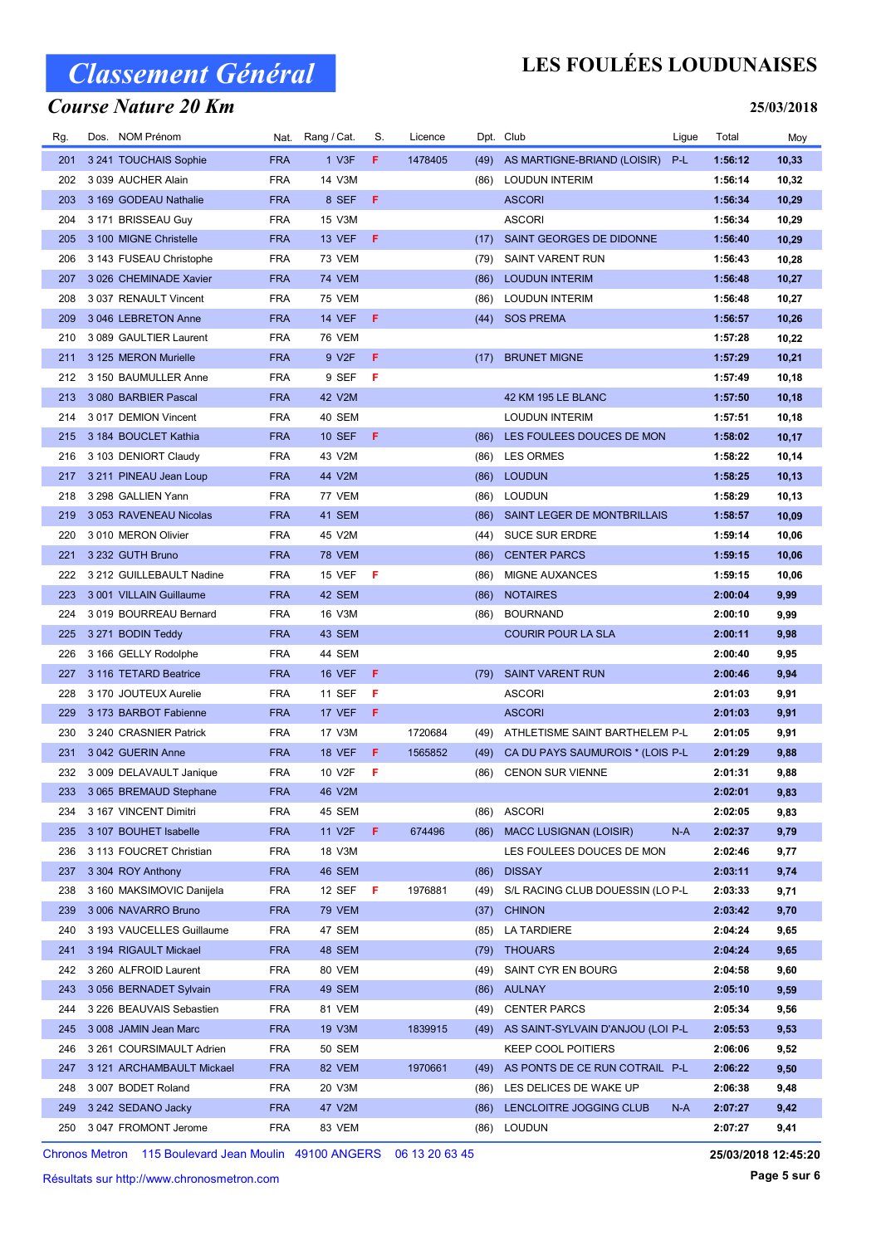### Course Nature 20 Km

## LES FOULÉES LOUDUNAISES

#### 25/03/2018

| Rg. | Dos. NOM Prénom                               |            | Nat. Rang / Cat.        | S. | Licence |              | Dpt. Club                                                   | Ligue | Total              | Moy          |
|-----|-----------------------------------------------|------------|-------------------------|----|---------|--------------|-------------------------------------------------------------|-------|--------------------|--------------|
| 201 | 3 241 TOUCHAIS Sophie                         | <b>FRA</b> | 1 V3F                   | F. | 1478405 | (49)         | AS MARTIGNE-BRIAND (LOISIR)                                 | P-L   | 1:56:12            | 10,33        |
| 202 | 3 039 AUCHER Alain                            | <b>FRA</b> | 14 V3M                  |    |         | (86)         | <b>LOUDUN INTERIM</b>                                       |       | 1:56:14            | 10,32        |
| 203 | 3 169 GODEAU Nathalie                         | <b>FRA</b> | 8 SEF                   | F  |         |              | <b>ASCORI</b>                                               |       | 1:56:34            | 10,29        |
| 204 | 3 171 BRISSEAU Guy                            | <b>FRA</b> | 15 V3M                  |    |         |              | <b>ASCORI</b>                                               |       | 1:56:34            | 10,29        |
| 205 | 3 100 MIGNE Christelle                        | <b>FRA</b> | <b>13 VEF</b>           | F  |         | (17)         | SAINT GEORGES DE DIDONNE                                    |       | 1:56:40            | 10,29        |
| 206 | 3 143 FUSEAU Christophe                       | <b>FRA</b> | <b>73 VEM</b>           |    |         | (79)         | <b>SAINT VARENT RUN</b>                                     |       | 1:56:43            | 10,28        |
| 207 | 3 026 CHEMINADE Xavier                        | <b>FRA</b> | <b>74 VEM</b>           |    |         | (86)         | <b>LOUDUN INTERIM</b>                                       |       | 1:56:48            | 10,27        |
| 208 | 3 037 RENAULT Vincent                         | <b>FRA</b> | <b>75 VEM</b>           |    |         | (86)         | <b>LOUDUN INTERIM</b>                                       |       | 1:56:48            | 10,27        |
| 209 | 3 046 LEBRETON Anne                           | <b>FRA</b> | <b>14 VEF</b>           | F. |         | (44)         | <b>SOS PREMA</b>                                            |       | 1:56:57            | 10,26        |
| 210 | 3 089 GAULTIER Laurent                        | <b>FRA</b> | <b>76 VEM</b>           |    |         |              |                                                             |       | 1:57:28            | 10,22        |
| 211 | 3 125 MERON Murielle                          | <b>FRA</b> | 9 V2F                   | F  |         | (17)         | <b>BRUNET MIGNE</b>                                         |       | 1:57:29            | 10,21        |
| 212 | 3 150 BAUMULLER Anne                          | <b>FRA</b> | 9 SEF                   | F  |         |              |                                                             |       | 1:57:49            | 10,18        |
| 213 | 3 080 BARBIER Pascal                          | <b>FRA</b> | 42 V2M                  |    |         |              | 42 KM 195 LE BLANC                                          |       | 1:57:50            | 10,18        |
| 214 | 3017 DEMION Vincent                           | <b>FRA</b> | 40 SEM                  |    |         |              | <b>LOUDUN INTERIM</b>                                       |       | 1:57:51            | 10,18        |
| 215 | 3 184 BOUCLET Kathia                          | <b>FRA</b> | <b>10 SEF</b>           | F  |         | (86)         | LES FOULEES DOUCES DE MON                                   |       | 1:58:02            | 10,17        |
| 216 | 3 103 DENIORT Claudy                          | <b>FRA</b> | 43 V2M                  |    |         | (86)         | <b>LES ORMES</b>                                            |       | 1:58:22            | 10,14        |
| 217 | 3 211 PINEAU Jean Loup                        | <b>FRA</b> | 44 V2M                  |    |         | (86)         | <b>LOUDUN</b>                                               |       | 1:58:25            | 10, 13       |
| 218 | 3 298 GALLIEN Yann                            | <b>FRA</b> | 77 VEM                  |    |         | (86)         | <b>LOUDUN</b>                                               |       | 1:58:29            | 10,13        |
| 219 | 3 053 RAVENEAU Nicolas                        | <b>FRA</b> | 41 SEM                  |    |         | (86)         | SAINT LEGER DE MONTBRILLAIS                                 |       | 1:58:57            | 10,09        |
| 220 | 3 010 MERON Olivier                           | <b>FRA</b> | 45 V2M                  |    |         | (44)         | <b>SUCE SUR ERDRE</b>                                       |       | 1:59:14            | 10,06        |
| 221 | 3 232 GUTH Bruno                              | <b>FRA</b> | <b>78 VEM</b>           |    |         | (86)         | <b>CENTER PARCS</b>                                         |       | 1:59:15            | 10,06        |
| 222 | 3 212 GUILLEBAULT Nadine                      | <b>FRA</b> | 15 VEF                  | F  |         | (86)         | MIGNE AUXANCES                                              |       | 1:59:15            | 10,06        |
| 223 | 3 001 VILLAIN Guillaume                       | <b>FRA</b> | 42 SEM                  |    |         |              | <b>NOTAIRES</b>                                             |       | 2:00:04            | 9,99         |
| 224 | 3019 BOURREAU Bernard                         | <b>FRA</b> | 16 V3M                  |    |         | (86)<br>(86) | <b>BOURNAND</b>                                             |       | 2:00:10            |              |
| 225 | 3 271 BODIN Teddy                             | <b>FRA</b> | 43 SEM                  |    |         |              | <b>COURIR POUR LA SLA</b>                                   |       | 2:00:11            | 9,99<br>9,98 |
| 226 |                                               | <b>FRA</b> | 44 SEM                  |    |         |              |                                                             |       | 2:00:40            | 9,95         |
| 227 | 3 166 GELLY Rodolphe<br>3 116 TETARD Beatrice | <b>FRA</b> | <b>16 VEF</b>           | F. |         | (79)         | <b>SAINT VARENT RUN</b>                                     |       | 2:00:46            |              |
| 228 | 3 170 JOUTEUX Aurelie                         | <b>FRA</b> | 11 SEF                  | F  |         |              |                                                             |       | 2:01:03            | 9,94         |
| 229 | 3 173 BARBOT Fabienne                         | <b>FRA</b> | 17 VEF                  | F  |         |              | <b>ASCORI</b><br><b>ASCORI</b>                              |       | 2:01:03            | 9,91         |
| 230 |                                               | <b>FRA</b> | 17 V3M                  |    | 1720684 |              | ATHLETISME SAINT BARTHELEM P-L                              |       | 2:01:05            | 9,91<br>9,91 |
| 231 | 3 240 CRASNIER Patrick                        | <b>FRA</b> |                         | F  |         | (49)         |                                                             |       |                    | 9,88         |
| 232 | 3 042 GUERIN Anne                             | <b>FRA</b> | <b>18 VEF</b><br>10 V2F | F  | 1565852 | (49)<br>(86) | CA DU PAYS SAUMUROIS * (LOIS P-L<br><b>CENON SUR VIENNE</b> |       | 2:01:29<br>2:01:31 |              |
|     | 3 009 DELAVAULT Janique                       | <b>FRA</b> |                         |    |         |              |                                                             |       |                    | 9,88         |
|     | 233 3 065 BREMAUD Stephane                    |            | 46 V2M                  |    |         |              |                                                             |       | 2:02:01            | 9,83         |
| 234 | 3 167 VINCENT Dimitri                         | FRA        | 45 SEM                  |    | 674496  |              | (86) ASCORI                                                 |       | 2:02:05            | 9,83         |
| 235 | 3 107 BOUHET Isabelle                         | <b>FRA</b> | 11 V2F                  | F. |         | (86)         | <b>MACC LUSIGNAN (LOISIR)</b>                               | N-A   | 2:02:37            | 9,79         |
| 236 | 3 113 FOUCRET Christian                       | <b>FRA</b> | 18 V3M                  |    |         |              | LES FOULEES DOUCES DE MON                                   |       | 2:02:46            | 9,77         |
| 237 | 3 304 ROY Anthony                             | <b>FRA</b> | 46 SEM                  |    |         | (86)         | <b>DISSAY</b>                                               |       | 2:03:11            | 9,74         |
| 238 | 3 160 MAKSIMOVIC Danijela                     | <b>FRA</b> | 12 SEF                  | F  | 1976881 | (49)         | S/L RACING CLUB DOUESSIN (LO P-L                            |       | 2:03:33            | 9,71         |
| 239 | 3 006 NAVARRO Bruno                           | <b>FRA</b> | <b>79 VEM</b>           |    |         | (37)         | <b>CHINON</b>                                               |       | 2:03:42            | 9,70         |
| 240 | 3 193 VAUCELLES Guillaume                     | <b>FRA</b> | 47 SEM                  |    |         | (85)         | LA TARDIERE                                                 |       | 2:04:24            | 9,65         |
| 241 | 3 194 RIGAULT Mickael                         | <b>FRA</b> | 48 SEM                  |    |         | (79)         | <b>THOUARS</b>                                              |       | 2:04:24            | 9,65         |
| 242 | 3 260 ALFROID Laurent                         | <b>FRA</b> | 80 VEM                  |    |         | (49)         | SAINT CYR EN BOURG                                          |       | 2:04:58            | 9,60         |
| 243 | 3 056 BERNADET Sylvain                        | <b>FRA</b> | 49 SEM                  |    |         |              | (86) AULNAY                                                 |       | 2:05:10            | 9,59         |
| 244 | 3 226 BEAUVAIS Sebastien                      | <b>FRA</b> | 81 VEM                  |    |         | (49)         | <b>CENTER PARCS</b>                                         |       | 2:05:34            | 9,56         |
| 245 | 3 008 JAMIN Jean Marc                         | <b>FRA</b> | 19 V3M                  |    | 1839915 | (49)         | AS SAINT-SYLVAIN D'ANJOU (LOI P-L                           |       | 2:05:53            | 9,53         |
| 246 | 3 261 COURSIMAULT Adrien                      | <b>FRA</b> | 50 SEM                  |    |         |              | <b>KEEP COOL POITIERS</b>                                   |       | 2:06:06            | 9,52         |
| 247 | 3 121 ARCHAMBAULT Mickael                     | <b>FRA</b> | 82 VEM                  |    | 1970661 | (49)         | AS PONTS DE CE RUN COTRAIL P-L                              |       | 2:06:22            | 9,50         |
| 248 | 3 007 BODET Roland                            | <b>FRA</b> | 20 V3M                  |    |         | (86)         | LES DELICES DE WAKE UP                                      |       | 2:06:38            | 9,48         |
| 249 | 3 242 SEDANO Jacky                            | <b>FRA</b> | 47 V2M                  |    |         | (86)         | LENCLOITRE JOGGING CLUB                                     | N-A   | 2:07:27            | 9,42         |
| 250 | 3 047 FROMONT Jerome                          | <b>FRA</b> | 83 VEM                  |    |         |              | (86) LOUDUN                                                 |       | 2:07:27            | 9,41         |

Chronos Metron 115 Boulevard Jean Moulin 49100 ANGERS 06 13 20 63 45